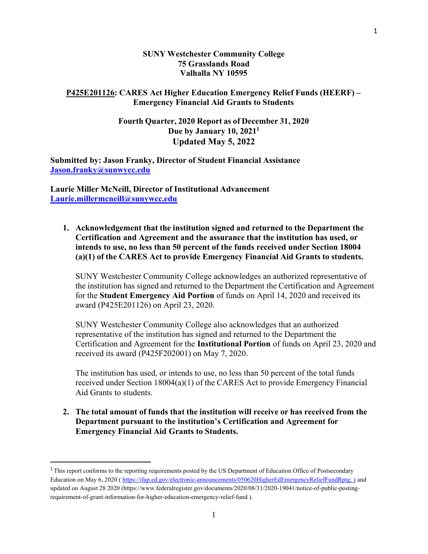#### SUNY Westchester Community College 75 Grasslands Road Valhalla NY 10595

## P425E201126: CARES Act Higher Education Emergency Relief Funds (HEERF) – Emergency Financial Aid Grants to Students

# Fourth Quarter, 2020 Report as of December 31, 2020 Due by January 10, 2021<sup>1</sup> Updated May 5, 2022

Submitted by: Jason Franky, Director of Student Financial Assistance Jason.franky@sunwycc.edu

Laurie Miller McNeill, Director of Institutional Advancement Laurie.millermcneill@sunywcc.edu

1. Acknowledgement that the institution signed and returned to the Department the Certification and Agreement and the assurance that the institution has used, or intends to use, no less than 50 percent of the funds received under Section 18004 (a)(1) of the CARES Act to provide Emergency Financial Aid Grants to students.

SUNY Westchester Community College acknowledges an authorized representative of the institution has signed and returned to the Department the Certification and Agreement for the Student Emergency Aid Portion of funds on April 14, 2020 and received its award (P425E201126) on April 23, 2020.

SUNY Westchester Community College also acknowledges that an authorized representative of the institution has signed and returned to the Department the Certification and Agreement for the Institutional Portion of funds on April 23, 2020 and received its award (P425F202001) on May 7, 2020.

The institution has used, or intends to use, no less than 50 percent of the total funds received under Section 18004(a)(1) of the CARES Act to provide Emergency Financial Aid Grants to students.

2. The total amount of funds that the institution will receive or has received from the Department pursuant to the institution's Certification and Agreement for Emergency Financial Aid Grants to Students.

<sup>&</sup>lt;sup>1</sup>This report conforms to the reporting requirements posted by the US Department of Education Office of Postsecondary Education on May 6, 2020 ( https://ifap.ed.gov/electronic-announcements/050620HigherEdEmergencyReliefFundRptg; ) and updated on August 28 2020 (https://www.federalregister.gov/documents/2020/08/31/2020-19041/notice-of-public-postingrequirement-of-grant-information-for-higher-education-emergency-relief-fund ).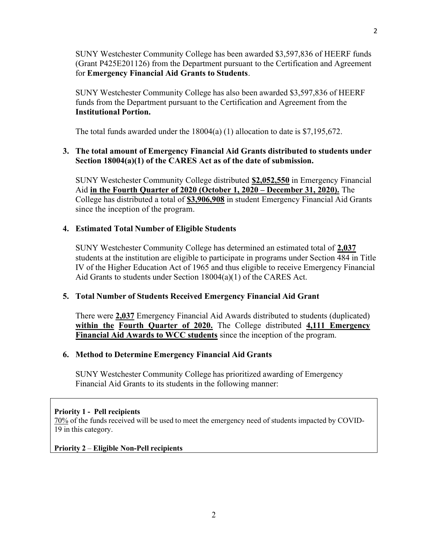SUNY Westchester Community College has been awarded \$3,597,836 of HEERF funds (Grant P425E201126) from the Department pursuant to the Certification and Agreement for Emergency Financial Aid Grants to Students.

SUNY Westchester Community College has also been awarded \$3,597,836 of HEERF funds from the Department pursuant to the Certification and Agreement from the Institutional Portion.

The total funds awarded under the 18004(a) (1) allocation to date is \$7,195,672.

# 3. The total amount of Emergency Financial Aid Grants distributed to students under Section 18004(a)(1) of the CARES Act as of the date of submission.

SUNY Westchester Community College distributed \$2,052,550 in Emergency Financial Aid in the Fourth Quarter of 2020 (October 1, 2020 – December 31, 2020). The College has distributed a total of \$3,906,908 in student Emergency Financial Aid Grants since the inception of the program.

## 4. Estimated Total Number of Eligible Students

SUNY Westchester Community College has determined an estimated total of 2,037 students at the institution are eligible to participate in programs under Section 484 in Title IV of the Higher Education Act of 1965 and thus eligible to receive Emergency Financial Aid Grants to students under Section 18004(a)(1) of the CARES Act.

### 5. Total Number of Students Received Emergency Financial Aid Grant

There were 2,037 Emergency Financial Aid Awards distributed to students (duplicated) within the Fourth Quarter of 2020. The College distributed 4,111 Emergency Financial Aid Awards to WCC students since the inception of the program.

### 6. Method to Determine Emergency Financial Aid Grants

SUNY Westchester Community College has prioritized awarding of Emergency Financial Aid Grants to its students in the following manner:

### Priority 1 - Pell recipients

70% of the funds received will be used to meet the emergency need of students impacted by COVID-19 in this category.

### Priority 2 – Eligible Non-Pell recipients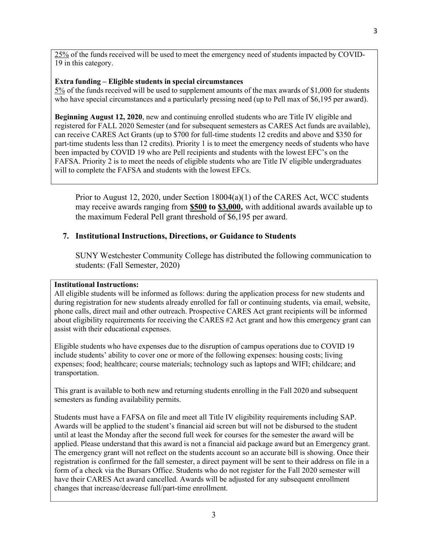25% of the funds received will be used to meet the emergency need of students impacted by COVID-19 in this category.

## Extra funding – Eligible students in special circumstances

5% of the funds received will be used to supplement amounts of the max awards of \$1,000 for students who have special circumstances and a particularly pressing need (up to Pell max of \$6,195 per award).

Beginning August 12, 2020, new and continuing enrolled students who are Title IV eligible and registered for FALL 2020 Semester (and for subsequent semesters as CARES Act funds are available), can receive CARES Act Grants (up to \$700 for full-time students 12 credits and above and \$350 for part-time students less than 12 credits). Priority 1 is to meet the emergency needs of students who have been impacted by COVID 19 who are Pell recipients and students with the lowest EFC's on the FAFSA. Priority 2 is to meet the needs of eligible students who are Title IV eligible undergraduates will to complete the FAFSA and students with the lowest EFCs.

Prior to August 12, 2020, under Section  $18004(a)(1)$  of the CARES Act, WCC students may receive awards ranging from **\$500 to \$3,000**, with additional awards available up to the maximum Federal Pell grant threshold of \$6,195 per award.

# 7. Institutional Instructions, Directions, or Guidance to Students

SUNY Westchester Community College has distributed the following communication to students: (Fall Semester, 2020)

### Institutional Instructions:

All eligible students will be informed as follows: during the application process for new students and during registration for new students already enrolled for fall or continuing students, via email, website, phone calls, direct mail and other outreach. Prospective CARES Act grant recipients will be informed about eligibility requirements for receiving the CARES #2 Act grant and how this emergency grant can assist with their educational expenses.

Eligible students who have expenses due to the disruption of campus operations due to COVID 19 include students' ability to cover one or more of the following expenses: housing costs; living expenses; food; healthcare; course materials; technology such as laptops and WIFI; childcare; and transportation.

This grant is available to both new and returning students enrolling in the Fall 2020 and subsequent semesters as funding availability permits.

Students must have a FAFSA on file and meet all Title IV eligibility requirements including SAP. Awards will be applied to the student's financial aid screen but will not be disbursed to the student until at least the Monday after the second full week for courses for the semester the award will be applied. Please understand that this award is not a financial aid package award but an Emergency grant. The emergency grant will not reflect on the students account so an accurate bill is showing. Once their registration is confirmed for the fall semester, a direct payment will be sent to their address on file in a form of a check via the Bursars Office. Students who do not register for the Fall 2020 semester will have their CARES Act award cancelled. Awards will be adjusted for any subsequent enrollment changes that increase/decrease full/part-time enrollment.